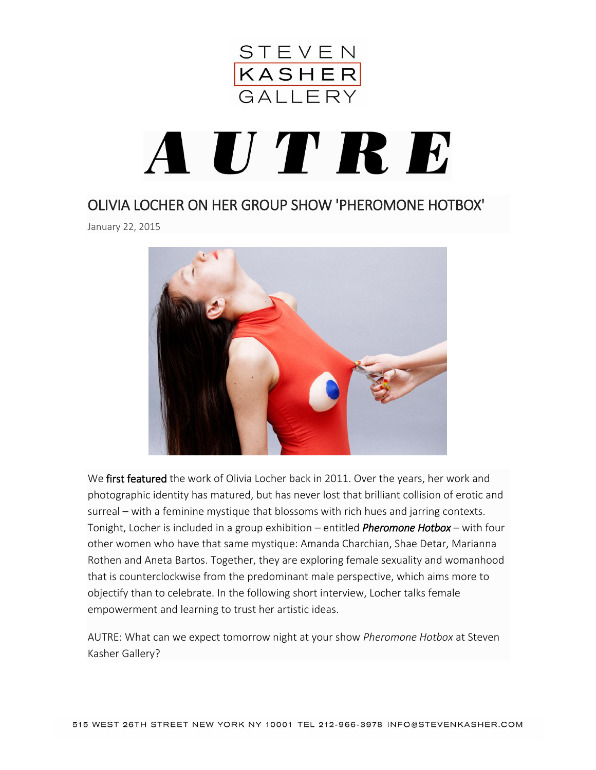

## AUTRE

## [OLIVIA LOCHER ON HER GROUP SHOW 'PHEROMONE HOTBOX'](http://www.pasunautre.com/interviewsmain/2015/1/21/olivia-locher-on-her-group-show-pheromone-hotbox)

January 22, 2015



We [first featured](http://www.pasunautre.com/editorialmain/2011/08/02/another-day-on-earth-by-olivia-locher) the work of Olivia Locher back in 2011. Over the years, her work and photographic identity has matured, but has never lost that brilliant collision of erotic and surreal – with a feminine mystique that blossoms with rich hues and jarring contexts. Tonight, Locher is included in a group exhibition – entitled *[Pheromone Hotbox](http://www.stevenkasher.com/exhibition/117/#!3995)* – with four other women who have that same mystique: Amanda Charchian, Shae Detar, Marianna Rothen and Aneta Bartos. Together, they are exploring female sexuality and womanhood that is counterclockwise from the predominant male perspective, which aims more to objectify than to celebrate. In the following short interview, Locher talks female empowerment and learning to trust her artistic ideas.

AUTRE: What can we expect tomorrow night at your show *Pheromone Hotbox* at Steven Kasher Gallery?